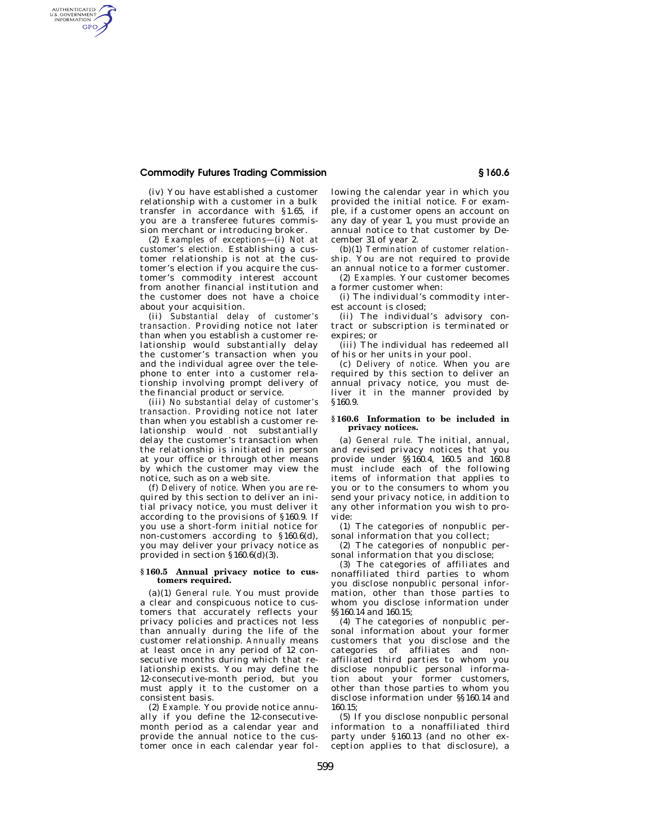# **Commodity Futures Trading Commission § 160.6**

AUTHENTICATED<br>U.S. GOVERNMENT<br>INFORMATION GPO

> (iv) You have established a customer relationship with a customer in a bulk transfer in accordance with §1.65, if you are a transferee futures commission merchant or introducing broker.

> (2) *Examples of exceptions*—(i) *Not at customer's election.* Establishing a customer relationship is not at the customer's election if you acquire the customer's commodity interest account from another financial institution and the customer does not have a choice about your acquisition.

> (ii) *Substantial delay of customer's transaction.* Providing notice not later than when you establish a customer relationship would substantially delay the customer's transaction when you and the individual agree over the telephone to enter into a customer rela-.<br>tionship involving prompt delivery of the financial product or service.

> (iii) *No substantial delay of customer's transaction.* Providing notice not later than when you establish a customer relationship would not substantially delay the customer's transaction when the relationship is initiated in person at your office or through other means by which the customer may view the notice, such as on a web site.

> (f) *Delivery of notice.* When you are required by this section to deliver an initial privacy notice, you must deliver it according to the provisions of §160.9. If you use a short-form initial notice for non-customers according to §160.6(d), you may deliver your privacy notice as provided in section  $\S 160.6(d)(3)$ .

### **§ 160.5 Annual privacy notice to customers required.**

(a)(1) *General rule.* You must provide a clear and conspicuous notice to customers that accurately reflects your privacy policies and practices not less than annually during the life of the customer relationship. *Annually* means at least once in any period of 12 consecutive months during which that relationship exists. You may define the 12-consecutive-month period, but you must apply it to the customer on a consistent basis.

(2) *Example.* You provide notice annually if you define the 12-consecutivemonth period as a calendar year and provide the annual notice to the customer once in each calendar year following the calendar year in which you provided the initial notice. For example, if a customer opens an account on any day of year 1, you must provide an annual notice to that customer by December 31 of year 2.

(b)(1) *Termination of customer relationship.* You are not required to provide an annual notice to a former customer.

(2) *Examples.* Your customer becomes a former customer when:

(i) The individual's commodity interest account is closed;

(ii) The individual's advisory contract or subscription is terminated or expires; or

(iii) The individual has redeemed all of his or her units in your pool.

(c) *Delivery of notice.* When you are required by this section to deliver an annual privacy notice, you must deliver it in the manner provided by §160.9.

#### **§ 160.6 Information to be included in privacy notices.**

(a) *General rule.* The initial, annual, and revised privacy notices that you provide under §§160.4, 160.5 and 160.8 must include each of the following items of information that applies to you or to the consumers to whom you send your privacy notice, in addition to any other information you wish to provide:

(1) The categories of nonpublic personal information that you collect;

(2) The categories of nonpublic personal information that you disclose;

(3) The categories of affiliates and nonaffiliated third parties to whom you disclose nonpublic personal information, other than those parties to whom you disclose information under §§160.14 and 160.15;

(4) The categories of nonpublic personal information about your former customers that you disclose and the categories of affiliates and nonaffiliated third parties to whom you disclose nonpublic personal information about your former customers, other than those parties to whom you disclose information under §§160.14 and 160.15;

(5) If you disclose nonpublic personal information to a nonaffiliated third party under §160.13 (and no other exception applies to that disclosure), a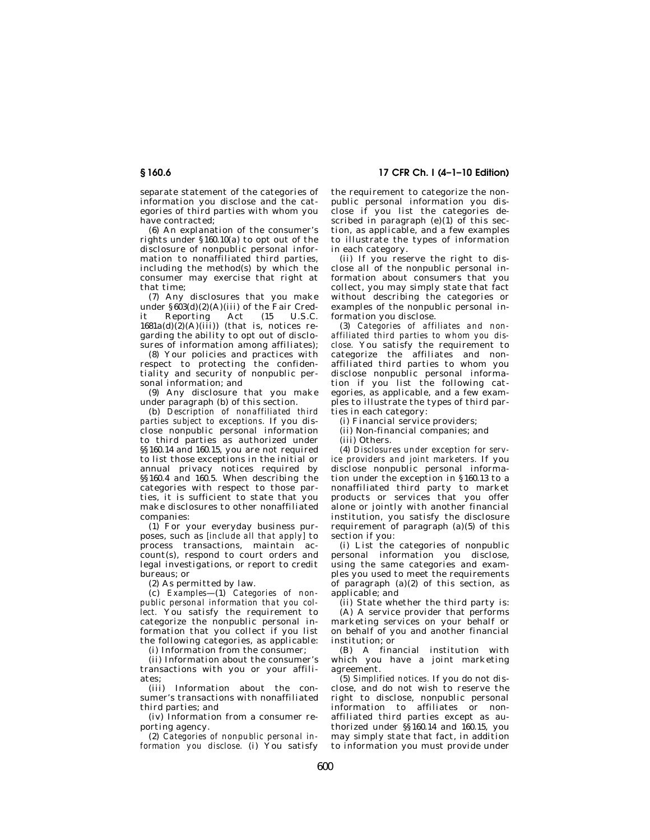separate statement of the categories of information you disclose and the categories of third parties with whom you have contracted;

(6) An explanation of the consumer's rights under §160.10(a) to opt out of the disclosure of nonpublic personal information to nonaffiliated third parties, including the method(s) by which the consumer may exercise that right at that time;

(7) Any disclosures that you make under  $\frac{\sin(2)}{\cos(4)}$ (2)(A)(iii) of the Fair Cred-<br>it Reporting Act (15 U.S.C. Reporting Act (15  $1681a(d)(2)(A)(iii)$  (that is, notices regarding the ability to opt out of disclosures of information among affiliates);

(8) Your policies and practices with respect to protecting the confidentiality and security of nonpublic personal information; and

(9) Any disclosure that you make under paragraph (b) of this section.

(b) *Description of nonaffiliated third parties subject to exceptions.* If you disclose nonpublic personal information to third parties as authorized under §§160.14 and 160.15, you are not required to list those exceptions in the initial or annual privacy notices required by §§160.4 and 160.5. When describing the categories with respect to those parties, it is sufficient to state that you make disclosures to other nonaffiliated companies:

(1) For your everyday business purposes, such as *[include all that apply]* to process transactions, maintain account(s), respond to court orders and legal investigations, or report to credit bureaus; or

(2) As permitted by law.

(c) *Examples*—(1) *Categories of nonpublic personal information that you collect.* You satisfy the requirement to categorize the nonpublic personal information that you collect if you list the following categories, as applicable:

(i) Information from the consumer;

(ii) Information about the consumer's transactions with you or your affiliates;

(iii) Information about the consumer's transactions with nonaffiliated third parties; and

(iv) Information from a consumer reporting agency.

(2) *Categories of nonpublic personal information you disclose.* (i) You satisfy

**§ 160.6 17 CFR Ch. I (4–1–10 Edition)** 

the requirement to categorize the nonpublic personal information you disclose if you list the categories described in paragraph  $(e)(1)$  of this section, as applicable, and a few examples to illustrate the types of information in each category.

(ii) If you reserve the right to disclose all of the nonpublic personal information about consumers that you collect, you may simply state that fact without describing the categories or examples of the nonpublic personal information you disclose.

(3) *Categories of affiliates and nonaffiliated third parties to whom you disclose.* You satisfy the requirement to categorize the affiliates and nonaffiliated third parties to whom you disclose nonpublic personal information if you list the following categories, as applicable, and a few examples to illustrate the types of third parties in each category:

(i) Financial service providers;

(ii) Non-financial companies; and

(iii) Others.

(4) *Disclosures under exception for service providers and joint marketers.* If you disclose nonpublic personal information under the exception in §160.13 to a nonaffiliated third party to market products or services that you offer alone or jointly with another financial institution, you satisfy the disclosure requirement of paragraph (a)(5) of this section if you:

(i) List the categories of nonpublic personal information you disclose, using the same categories and examples you used to meet the requirements of paragraph  $(a)(2)$  of this section, as applicable; and

(ii) State whether the third party is:

(A) A service provider that performs marketing services on your behalf or on behalf of you and another financial institution; or

(B) A financial institution with which you have a joint marketing agreement.

(5) *Simplified notices.* If you do not disclose, and do not wish to reserve the right to disclose, nonpublic personal information to affiliates or nonaffiliated third parties except as authorized under  $\frac{\hat{S}}{\hat{S}}$ 160.14 and 160.15, you may simply state that fact, in addition to information you must provide under